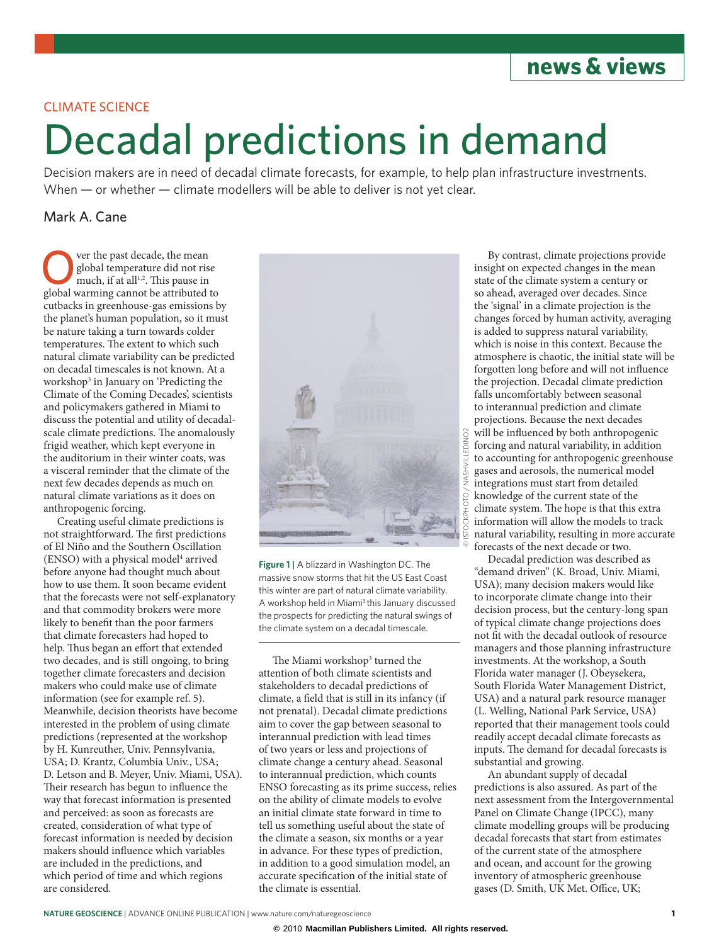## **news & views**

### Climate science

# Decadal predictions in demand

Decision makers are in need of decadal climate forecasts, for example, to help plan infrastructure investments. When – or whether – climate modellers will be able to deliver is not yet clear.

### Mark A. Cane

**Over the past decade, the mean plobal temperature did not risonally much, if at all<sup>1,2</sup>. This pause in global warming cannot be attributed to** global temperature did not rise global warming cannot be attributed to cutbacks in greenhouse-gas emissions by the planet's human population, so it must be nature taking a turn towards colder temperatures. The extent to which such natural climate variability can be predicted on decadal timescales is not known. At a workshop3 in January on 'Predicting the Climate of the Coming Decades', scientists and policymakers gathered in Miami to discuss the potential and utility of decadalscale climate predictions. The anomalously frigid weather, which kept everyone in the auditorium in their winter coats, was a visceral reminder that the climate of the next few decades depends as much on natural climate variations as it does on anthropogenic forcing.

Creating useful climate predictions is not straightforward. The first predictions of El Niño and the Southern Oscillation (ENSO) with a physical model<sup>4</sup> arrived before anyone had thought much about how to use them. It soon became evident that the forecasts were not self-explanatory and that commodity brokers were more likely to benefit than the poor farmers that climate forecasters had hoped to help. Thus began an effort that extended two decades, and is still ongoing, to bring together climate forecasters and decision makers who could make use of climate information (see for example ref. 5). Meanwhile, decision theorists have become interested in the problem of using climate predictions (represented at the workshop by H. Kunreuther, Univ. Pennsylvania, USA; D. Krantz, Columbia Univ., USA; D. Letson and B. Meyer, Univ. Miami, USA). Their research has begun to influence the way that forecast information is presented and perceived: as soon as forecasts are created, consideration of what type of forecast information is needed by decision makers should influence which variables are included in the predictions, and which period of time and which regions are considered.



**Figure 1 |** A blizzard in Washington DC. The massive snow storms that hit the US East Coast this winter are part of natural climate variability. A workshop held in Miami<sup>3</sup> this January discussed the prospects for predicting the natural swings of the climate system on a decadal timescale.

The Miami workshop<sup>3</sup> turned the attention of both climate scientists and stakeholders to decadal predictions of climate, a field that is still in its infancy (if not prenatal). Decadal climate predictions aim to cover the gap between seasonal to interannual prediction with lead times of two years or less and projections of climate change a century ahead. Seasonal to interannual prediction, which counts ENSO forecasting as its prime success, relies on the ability of climate models to evolve an initial climate state forward in time to tell us something useful about the state of the climate a season, six months or a year in advance. For these types of prediction, in addition to a good simulation model, an accurate specification of the initial state of the climate is essential.

By contrast, climate projections provide insight on expected changes in the mean state of the climate system a century or so ahead, averaged over decades. Since the 'signal' in a climate projection is the changes forced by human activity, averaging is added to suppress natural variability, which is noise in this context. Because the atmosphere is chaotic, the initial state will be forgotten long before and will not influence the projection. Decadal climate prediction falls uncomfortably between seasonal to interannual prediction and climate projections. Because the next decades will be influenced by both anthropogenic forcing and natural variability, in addition to accounting for anthropogenic greenhouse gases and aerosols, the numerical model integrations must start from detailed knowledge of the current state of the climate system. The hope is that this extra information will allow the models to track natural variability, resulting in more accurate forecasts of the next decade or two.

Decadal prediction was described as "demand driven" (K. Broad, Univ. Miami, USA); many decision makers would like to incorporate climate change into their decision process, but the century-long span of typical climate change projections does not fit with the decadal outlook of resource managers and those planning infrastructure investments. At the workshop, a South Florida water manager (J. Obeysekera, South Florida Water Management District, USA) and a natural park resource manager (L. Welling, National Park Service, USA) reported that their management tools could readily accept decadal climate forecasts as inputs. The demand for decadal forecasts is substantial and growing.

An abundant supply of decadal predictions is also assured. As part of the next assessment from the Intergovernmental Panel on Climate Change (IPCC), many climate modelling groups will be producing decadal forecasts that start from estimates of the current state of the atmosphere and ocean, and account for the growing inventory of atmospheric greenhouse gases (D. Smith, UK Met. Office, UK;